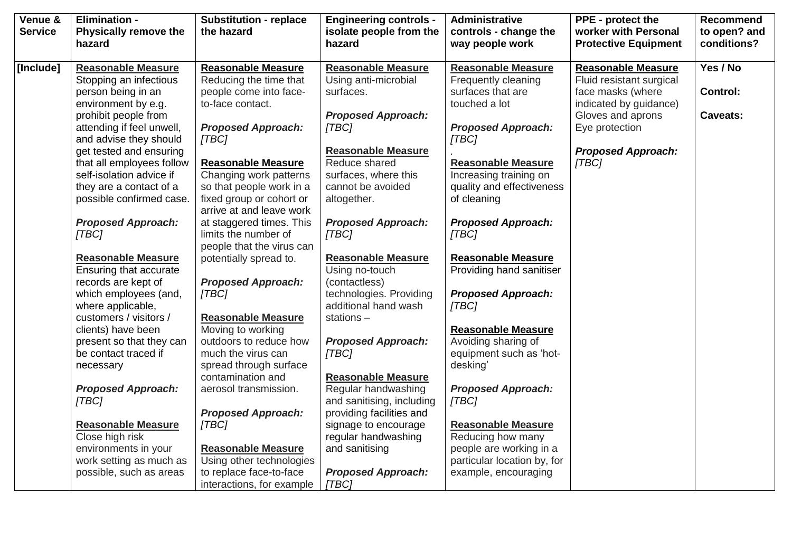| Venue &<br><b>Service</b> | <b>Elimination -</b><br><b>Physically remove the</b><br>hazard | <b>Substitution - replace</b><br>the hazard          | <b>Engineering controls -</b><br>isolate people from the<br>hazard | <b>Administrative</b><br>controls - change the<br>way people work | <b>PPE</b> - protect the<br>worker with Personal<br><b>Protective Equipment</b> | <b>Recommend</b><br>to open? and<br>conditions? |
|---------------------------|----------------------------------------------------------------|------------------------------------------------------|--------------------------------------------------------------------|-------------------------------------------------------------------|---------------------------------------------------------------------------------|-------------------------------------------------|
| [Include]                 | <b>Reasonable Measure</b>                                      | <b>Reasonable Measure</b>                            | <b>Reasonable Measure</b>                                          | <b>Reasonable Measure</b>                                         | <b>Reasonable Measure</b>                                                       | Yes / No                                        |
|                           | Stopping an infectious                                         | Reducing the time that                               | Using anti-microbial                                               | Frequently cleaning                                               | Fluid resistant surgical                                                        |                                                 |
|                           | person being in an                                             | people come into face-                               | surfaces.                                                          | surfaces that are                                                 | face masks (where                                                               | <b>Control:</b>                                 |
|                           | environment by e.g.                                            | to-face contact.                                     |                                                                    | touched a lot                                                     | indicated by guidance)                                                          |                                                 |
|                           | prohibit people from                                           |                                                      | <b>Proposed Approach:</b>                                          |                                                                   | Gloves and aprons                                                               | <b>Caveats:</b>                                 |
|                           | attending if feel unwell,                                      | <b>Proposed Approach:</b>                            | [TBC]                                                              | <b>Proposed Approach:</b>                                         | Eye protection                                                                  |                                                 |
|                           | and advise they should                                         | [TBC]                                                |                                                                    | [TBC]                                                             |                                                                                 |                                                 |
|                           | get tested and ensuring                                        |                                                      | <b>Reasonable Measure</b>                                          |                                                                   | <b>Proposed Approach:</b>                                                       |                                                 |
|                           | that all employees follow                                      | <b>Reasonable Measure</b>                            | Reduce shared                                                      | <b>Reasonable Measure</b>                                         | [TBC]                                                                           |                                                 |
|                           | self-isolation advice if                                       | Changing work patterns                               | surfaces, where this                                               | Increasing training on                                            |                                                                                 |                                                 |
|                           | they are a contact of a                                        | so that people work in a                             | cannot be avoided                                                  | quality and effectiveness                                         |                                                                                 |                                                 |
|                           | possible confirmed case.                                       | fixed group or cohort or<br>arrive at and leave work | altogether.                                                        | of cleaning                                                       |                                                                                 |                                                 |
|                           | <b>Proposed Approach:</b>                                      | at staggered times. This                             | <b>Proposed Approach:</b>                                          | <b>Proposed Approach:</b>                                         |                                                                                 |                                                 |
|                           | [TBC]                                                          | limits the number of                                 | [TBC]                                                              | [TBC]                                                             |                                                                                 |                                                 |
|                           |                                                                | people that the virus can                            |                                                                    |                                                                   |                                                                                 |                                                 |
|                           | <b>Reasonable Measure</b>                                      | potentially spread to.                               | <b>Reasonable Measure</b>                                          | <b>Reasonable Measure</b>                                         |                                                                                 |                                                 |
|                           | Ensuring that accurate                                         |                                                      | Using no-touch                                                     | Providing hand sanitiser                                          |                                                                                 |                                                 |
|                           | records are kept of                                            | <b>Proposed Approach:</b>                            | (contactless)                                                      |                                                                   |                                                                                 |                                                 |
|                           | which employees (and,                                          | [TBC]                                                | technologies. Providing                                            | <b>Proposed Approach:</b>                                         |                                                                                 |                                                 |
|                           | where applicable,                                              |                                                      | additional hand wash                                               | [TBC]                                                             |                                                                                 |                                                 |
|                           | customers / visitors /                                         | <b>Reasonable Measure</b>                            | stations-                                                          |                                                                   |                                                                                 |                                                 |
|                           | clients) have been                                             | Moving to working                                    |                                                                    | <b>Reasonable Measure</b>                                         |                                                                                 |                                                 |
|                           | present so that they can                                       | outdoors to reduce how                               | <b>Proposed Approach:</b>                                          | Avoiding sharing of                                               |                                                                                 |                                                 |
|                           | be contact traced if                                           | much the virus can                                   | [TBC]                                                              | equipment such as 'hot-                                           |                                                                                 |                                                 |
|                           | necessary                                                      | spread through surface                               |                                                                    | desking'                                                          |                                                                                 |                                                 |
|                           |                                                                | contamination and                                    | <b>Reasonable Measure</b>                                          |                                                                   |                                                                                 |                                                 |
|                           | <b>Proposed Approach:</b>                                      | aerosol transmission.                                | Regular handwashing                                                | <b>Proposed Approach:</b>                                         |                                                                                 |                                                 |
|                           | [TBC]                                                          |                                                      | and sanitising, including                                          | [TBC]                                                             |                                                                                 |                                                 |
|                           |                                                                | <b>Proposed Approach:</b>                            | providing facilities and                                           |                                                                   |                                                                                 |                                                 |
|                           | <b>Reasonable Measure</b>                                      | [TBC]                                                | signage to encourage                                               | <b>Reasonable Measure</b>                                         |                                                                                 |                                                 |
|                           | Close high risk                                                |                                                      | regular handwashing                                                | Reducing how many                                                 |                                                                                 |                                                 |
|                           | environments in your                                           | <b>Reasonable Measure</b>                            | and sanitising                                                     | people are working in a                                           |                                                                                 |                                                 |
|                           | work setting as much as                                        | Using other technologies                             |                                                                    | particular location by, for                                       |                                                                                 |                                                 |
|                           | possible, such as areas                                        | to replace face-to-face                              | <b>Proposed Approach:</b>                                          | example, encouraging                                              |                                                                                 |                                                 |
|                           |                                                                | interactions, for example                            | [TBC]                                                              |                                                                   |                                                                                 |                                                 |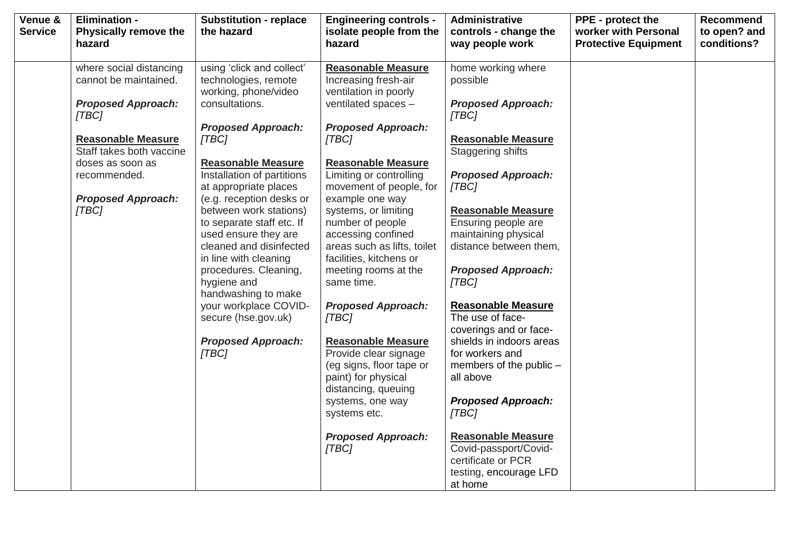| Venue &<br><b>Service</b> | <b>Elimination -</b><br><b>Physically remove the</b> | <b>Substitution - replace</b><br>the hazard         | <b>Engineering controls -</b><br>isolate people from the | <b>Administrative</b><br>controls - change the | <b>PPE</b> - protect the<br>worker with Personal | Recommend<br>to open? and |
|---------------------------|------------------------------------------------------|-----------------------------------------------------|----------------------------------------------------------|------------------------------------------------|--------------------------------------------------|---------------------------|
|                           | hazard                                               |                                                     | hazard                                                   | way people work                                | <b>Protective Equipment</b>                      | conditions?               |
|                           | where social distancing                              | using 'click and collect'                           | <b>Reasonable Measure</b>                                | home working where                             |                                                  |                           |
|                           | cannot be maintained.                                | technologies, remote<br>working, phone/video        | Increasing fresh-air<br>ventilation in poorly            | possible                                       |                                                  |                           |
|                           | <b>Proposed Approach:</b><br>[TBC]                   | consultations.                                      | ventilated spaces -                                      | <b>Proposed Approach:</b><br>[TBC]             |                                                  |                           |
|                           |                                                      | <b>Proposed Approach:</b>                           | <b>Proposed Approach:</b>                                |                                                |                                                  |                           |
|                           | <b>Reasonable Measure</b>                            | [TBC]                                               | [TBC]                                                    | <b>Reasonable Measure</b>                      |                                                  |                           |
|                           | Staff takes both vaccine                             |                                                     |                                                          | Staggering shifts                              |                                                  |                           |
|                           | doses as soon as                                     | <b>Reasonable Measure</b>                           | <b>Reasonable Measure</b>                                |                                                |                                                  |                           |
|                           | recommended.                                         | Installation of partitions<br>at appropriate places | Limiting or controlling<br>movement of people, for       | <b>Proposed Approach:</b><br>[TBC]             |                                                  |                           |
|                           | <b>Proposed Approach:</b>                            | (e.g. reception desks or                            | example one way                                          |                                                |                                                  |                           |
|                           | [TBC]                                                | between work stations)                              | systems, or limiting                                     | <b>Reasonable Measure</b>                      |                                                  |                           |
|                           |                                                      | to separate staff etc. If                           | number of people                                         | Ensuring people are                            |                                                  |                           |
|                           |                                                      | used ensure they are                                | accessing confined                                       | maintaining physical                           |                                                  |                           |
|                           |                                                      | cleaned and disinfected                             | areas such as lifts, toilet                              | distance between them,                         |                                                  |                           |
|                           |                                                      | in line with cleaning<br>procedures. Cleaning,      | facilities, kitchens or<br>meeting rooms at the          | <b>Proposed Approach:</b>                      |                                                  |                           |
|                           |                                                      | hygiene and                                         | same time.                                               | [TBC]                                          |                                                  |                           |
|                           |                                                      | handwashing to make                                 |                                                          |                                                |                                                  |                           |
|                           |                                                      | your workplace COVID-                               | <b>Proposed Approach:</b>                                | <b>Reasonable Measure</b>                      |                                                  |                           |
|                           |                                                      | secure (hse.gov.uk)                                 | [TBC]                                                    | The use of face-                               |                                                  |                           |
|                           |                                                      |                                                     |                                                          | coverings and or face-                         |                                                  |                           |
|                           |                                                      | <b>Proposed Approach:</b>                           | <b>Reasonable Measure</b>                                | shields in indoors areas<br>for workers and    |                                                  |                           |
|                           |                                                      | [TBC]                                               | Provide clear signage<br>(eg signs, floor tape or        | members of the public -                        |                                                  |                           |
|                           |                                                      |                                                     | paint) for physical                                      | all above                                      |                                                  |                           |
|                           |                                                      |                                                     | distancing, queuing                                      |                                                |                                                  |                           |
|                           |                                                      |                                                     | systems, one way                                         | <b>Proposed Approach:</b>                      |                                                  |                           |
|                           |                                                      |                                                     | systems etc.                                             | [TBC]                                          |                                                  |                           |
|                           |                                                      |                                                     | <b>Proposed Approach:</b>                                | <b>Reasonable Measure</b>                      |                                                  |                           |
|                           |                                                      |                                                     | [TBC]                                                    | Covid-passport/Covid-                          |                                                  |                           |
|                           |                                                      |                                                     |                                                          | certificate or PCR                             |                                                  |                           |
|                           |                                                      |                                                     |                                                          | testing, encourage LFD                         |                                                  |                           |
|                           |                                                      |                                                     |                                                          | at home                                        |                                                  |                           |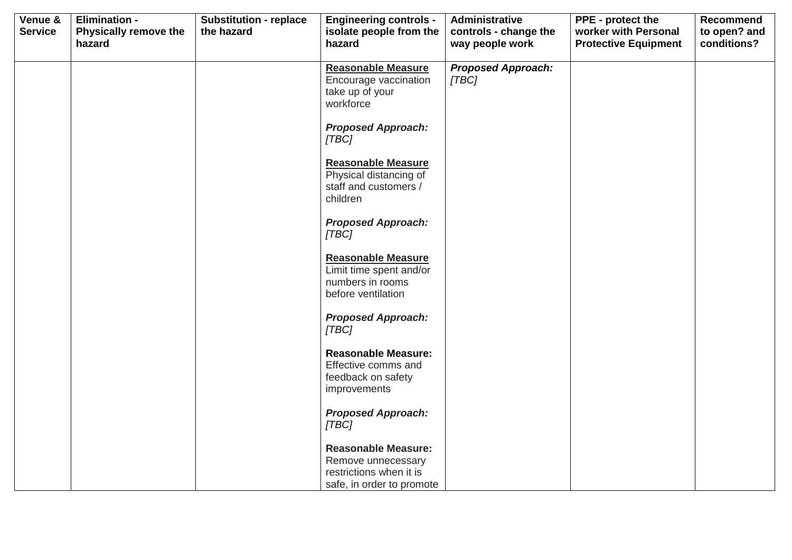| Venue &<br><b>Service</b> | <b>Elimination -</b><br><b>Physically remove the</b> | <b>Substitution - replace</b><br>the hazard | <b>Engineering controls -</b><br>isolate people from the                                                 | Administrative<br>controls - change the | PPE - protect the<br>worker with Personal | <b>Recommend</b><br>to open? and |
|---------------------------|------------------------------------------------------|---------------------------------------------|----------------------------------------------------------------------------------------------------------|-----------------------------------------|-------------------------------------------|----------------------------------|
|                           | hazard                                               |                                             | hazard                                                                                                   | way people work                         | <b>Protective Equipment</b>               | conditions?                      |
|                           |                                                      |                                             | <b>Reasonable Measure</b><br>Encourage vaccination<br>take up of your<br>workforce                       | <b>Proposed Approach:</b><br>[TBC]      |                                           |                                  |
|                           |                                                      |                                             | <b>Proposed Approach:</b><br>[TBC]                                                                       |                                         |                                           |                                  |
|                           |                                                      |                                             | <b>Reasonable Measure</b><br>Physical distancing of<br>staff and customers /<br>children                 |                                         |                                           |                                  |
|                           |                                                      |                                             | <b>Proposed Approach:</b><br>[TBC]                                                                       |                                         |                                           |                                  |
|                           |                                                      |                                             | <b>Reasonable Measure</b><br>Limit time spent and/or<br>numbers in rooms<br>before ventilation           |                                         |                                           |                                  |
|                           |                                                      |                                             | <b>Proposed Approach:</b><br>[TBC]                                                                       |                                         |                                           |                                  |
|                           |                                                      |                                             | <b>Reasonable Measure:</b><br>Effective comms and<br>feedback on safety<br>improvements                  |                                         |                                           |                                  |
|                           |                                                      |                                             | <b>Proposed Approach:</b><br>[TBC]                                                                       |                                         |                                           |                                  |
|                           |                                                      |                                             | <b>Reasonable Measure:</b><br>Remove unnecessary<br>restrictions when it is<br>safe, in order to promote |                                         |                                           |                                  |